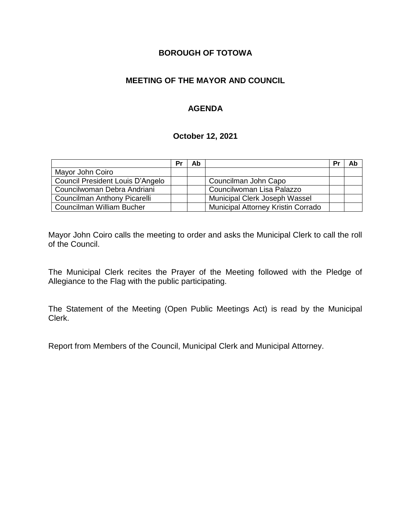#### **BOROUGH OF TOTOWA**

#### **MEETING OF THE MAYOR AND COUNCIL**

#### **AGENDA**

#### **October 12, 2021**

|                                  | Pr | Ab |                                    | Pr | Ab |
|----------------------------------|----|----|------------------------------------|----|----|
| Mayor John Coiro                 |    |    |                                    |    |    |
| Council President Louis D'Angelo |    |    | Councilman John Capo               |    |    |
| Councilwoman Debra Andriani      |    |    | Councilwoman Lisa Palazzo          |    |    |
| Councilman Anthony Picarelli     |    |    | Municipal Clerk Joseph Wassel      |    |    |
| Councilman William Bucher        |    |    | Municipal Attorney Kristin Corrado |    |    |

Mayor John Coiro calls the meeting to order and asks the Municipal Clerk to call the roll of the Council.

The Municipal Clerk recites the Prayer of the Meeting followed with the Pledge of Allegiance to the Flag with the public participating.

The Statement of the Meeting (Open Public Meetings Act) is read by the Municipal Clerk.

Report from Members of the Council, Municipal Clerk and Municipal Attorney.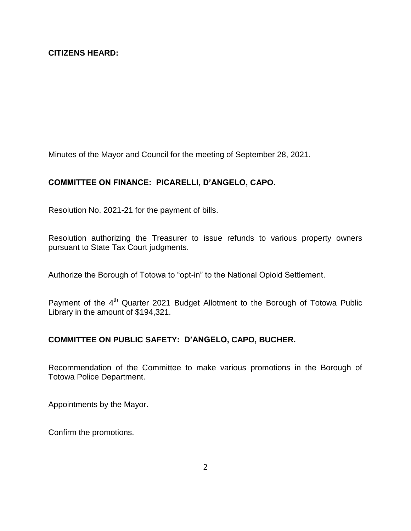Minutes of the Mayor and Council for the meeting of September 28, 2021.

## **COMMITTEE ON FINANCE: PICARELLI, D'ANGELO, CAPO.**

Resolution No. 2021-21 for the payment of bills.

Resolution authorizing the Treasurer to issue refunds to various property owners pursuant to State Tax Court judgments.

Authorize the Borough of Totowa to "opt-in" to the National Opioid Settlement.

Payment of the 4<sup>th</sup> Quarter 2021 Budget Allotment to the Borough of Totowa Public Library in the amount of \$194,321.

### **COMMITTEE ON PUBLIC SAFETY: D'ANGELO, CAPO, BUCHER.**

Recommendation of the Committee to make various promotions in the Borough of Totowa Police Department.

Appointments by the Mayor.

Confirm the promotions.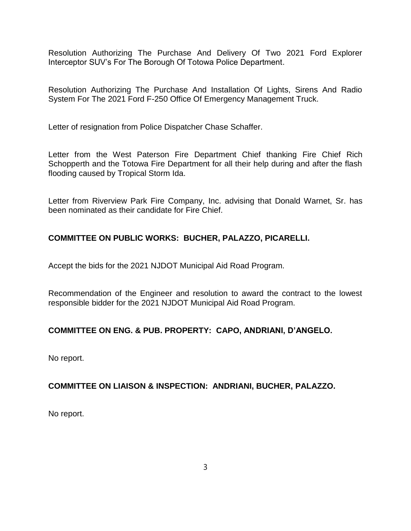Resolution Authorizing The Purchase And Delivery Of Two 2021 Ford Explorer Interceptor SUV's For The Borough Of Totowa Police Department.

Resolution Authorizing The Purchase And Installation Of Lights, Sirens And Radio System For The 2021 Ford F-250 Office Of Emergency Management Truck.

Letter of resignation from Police Dispatcher Chase Schaffer.

Letter from the West Paterson Fire Department Chief thanking Fire Chief Rich Schopperth and the Totowa Fire Department for all their help during and after the flash flooding caused by Tropical Storm Ida.

Letter from Riverview Park Fire Company, Inc. advising that Donald Warnet, Sr. has been nominated as their candidate for Fire Chief.

# **COMMITTEE ON PUBLIC WORKS: BUCHER, PALAZZO, PICARELLI.**

Accept the bids for the 2021 NJDOT Municipal Aid Road Program.

Recommendation of the Engineer and resolution to award the contract to the lowest responsible bidder for the 2021 NJDOT Municipal Aid Road Program.

### **COMMITTEE ON ENG. & PUB. PROPERTY: CAPO, ANDRIANI, D'ANGELO.**

No report.

### **COMMITTEE ON LIAISON & INSPECTION: ANDRIANI, BUCHER, PALAZZO.**

No report.